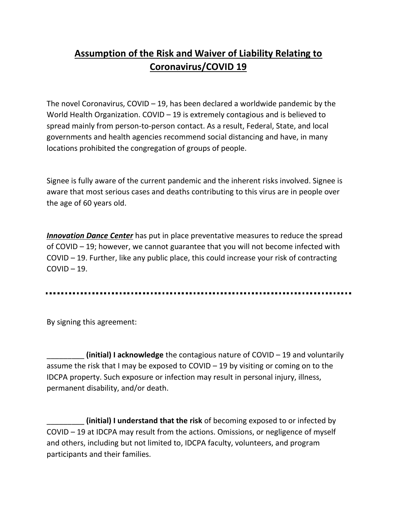## **Assumption of the Risk and Waiver of Liability Relating to Coronavirus/COVID 19**

The novel Coronavirus, COVID – 19, has been declared a worldwide pandemic by the World Health Organization. COVID – 19 is extremely contagious and is believed to spread mainly from person-to-person contact. As a result, Federal, State, and local governments and health agencies recommend social distancing and have, in many locations prohibited the congregation of groups of people.

Signee is fully aware of the current pandemic and the inherent risks involved. Signee is aware that most serious cases and deaths contributing to this virus are in people over the age of 60 years old.

*Innovation Dance Center* has put in place preventative measures to reduce the spread of COVID – 19; however, we cannot guarantee that you will not become infected with COVID – 19. Further, like any public place, this could increase your risk of contracting  $COVID - 19.$ 

By signing this agreement:

\_\_\_\_\_\_\_\_\_ **(initial) I acknowledge** the contagious nature of COVID – 19 and voluntarily assume the risk that I may be exposed to COVID – 19 by visiting or coming on to the IDCPA property. Such exposure or infection may result in personal injury, illness, permanent disability, and/or death.

\_\_\_\_\_\_\_\_\_ **(initial) I understand that the risk** of becoming exposed to or infected by COVID – 19 at IDCPA may result from the actions. Omissions, or negligence of myself and others, including but not limited to, IDCPA faculty, volunteers, and program participants and their families.